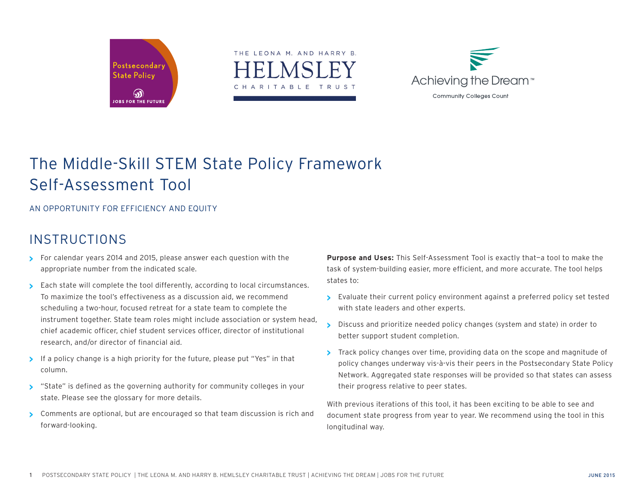





## The Middle-Skill STEM State Policy Framework Self-Assessment Tool

AN OPPORTUNITY FOR EFFICIENCY AND EQUITY

## **INSTRUCTIONS**

- **>** For calendar years 2014 and 2015, please answer each question with the appropriate number from the indicated scale.
- **>** Each state will complete the tool differently, according to local circumstances. To maximize the tool's effectiveness as a discussion aid, we recommend scheduling a two-hour, focused retreat for a state team to complete the instrument together. State team roles might include association or system head, chief academic officer, chief student services officer, director of institutional research, and/or director of financial aid.
- **>** If a policy change is a high priority for the future, please put "Yes" in that column.
- **>** "State" is defined as the governing authority for community colleges in your state. Please see the glossary for more details.
- **>** Comments are optional, but are encouraged so that team discussion is rich and forward-looking.

**Purpose and Uses:** This Self-Assessment Tool is exactly that—a tool to make the task of system-building easier, more efficient, and more accurate. The tool helps states to:

- **>** Evaluate their current policy environment against a preferred policy set tested with state leaders and other experts.
- **>** Discuss and prioritize needed policy changes (system and state) in order to better support student completion.
- **>** Track policy changes over time, providing data on the scope and magnitude of policy changes underway vis-à-vis their peers in the Postsecondary State Policy Network. Aggregated state responses will be provided so that states can assess their progress relative to peer states.

With previous iterations of this tool, it has been exciting to be able to see and document state progress from year to year. We recommend using the tool in this longitudinal way.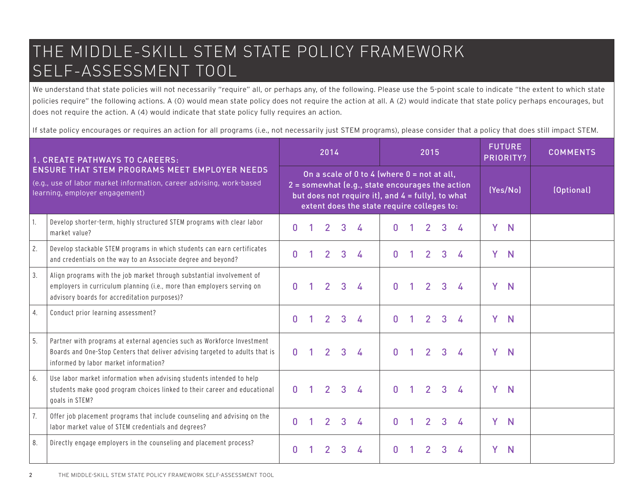# THE MIDDLE-SKILL STEM STATE POLICY FRAMEWORK SELF-ASSESSMENT TOOL

We understand that state policies will not necessarily "require" all, or perhaps any, of the following. Please use the 5-point scale to indicate "the extent to which state policies require" the following actions. A (0) would mean state policy does not require the action at all. A (2) would indicate that state policy perhaps encourages, but does not require the action. A (4) would indicate that state policy fully requires an action.

If state policy encourages or requires an action for all programs (i.e., not necessarily just STEM programs), please consider that a policy that does still impact STEM.

| <b>1. CREATE PATHWAYS TO CAREERS:</b>                                                                                                                         |                                                                                                                                                                                                  |              |                                                                                                                                                                                                                        | 2014           |   |   |              |  | 2015                      |   |   |   | <b>FUTURE</b><br><b>PRIORITY?</b> | <b>COMMENTS</b> |
|---------------------------------------------------------------------------------------------------------------------------------------------------------------|--------------------------------------------------------------------------------------------------------------------------------------------------------------------------------------------------|--------------|------------------------------------------------------------------------------------------------------------------------------------------------------------------------------------------------------------------------|----------------|---|---|--------------|--|---------------------------|---|---|---|-----------------------------------|-----------------|
| <b>ENSURE THAT STEM PROGRAMS MEET EMPLOYER NEEDS</b><br>(e.g., use of labor market information, career advising, work-based<br>learning, employer engagement) |                                                                                                                                                                                                  |              | On a scale of 0 to 4 (where $0 = \text{not at all}$ ,<br>$2 =$ somewhat (e.g., state encourages the action<br>but does not require it), and $4 = \text{fully}$ , to what<br>extent does the state require colleges to: |                |   |   |              |  |                           |   |   |   | (Yes/No)                          | (Optional)      |
| $\mathbf{1}$ .                                                                                                                                                | Develop shorter-term, highly structured STEM programs with clear labor<br>market value?                                                                                                          | n            |                                                                                                                                                                                                                        | $\overline{2}$ | 3 | 4 | n.           |  | $\mathbf{2}^{\mathsf{r}}$ | 3 | 4 | Y | $\mathbb N$                       |                 |
| 2.                                                                                                                                                            | Develop stackable STEM programs in which students can earn certificates<br>and credentials on the way to an Associate degree and beyond?                                                         | 0            |                                                                                                                                                                                                                        | 2 <sup>1</sup> | 3 | 4 | $\mathbf{0}$ |  | $\overline{2}$            | 3 |   | Ÿ | N                                 |                 |
| 3.                                                                                                                                                            | Align programs with the job market through substantial involvement of<br>employers in curriculum planning (i.e., more than employers serving on<br>advisory boards for accreditation purposes)?  |              |                                                                                                                                                                                                                        | $\mathcal{P}$  | 3 | 4 |              |  | $\mathcal{P}$             | 3 |   | Y | $\mathbb N$                       |                 |
| 4.                                                                                                                                                            | Conduct prior learning assessment?                                                                                                                                                               | 0            |                                                                                                                                                                                                                        | $\mathcal{P}$  | 3 | 4 | n.           |  | $\overline{2}$            | 3 |   | Ÿ | $\mathbf N$                       |                 |
| 5.                                                                                                                                                            | Partner with programs at external agencies such as Workforce Investment<br>Boards and One-Stop Centers that deliver advising targeted to adults that is<br>informed by labor market information? | <sup>0</sup> |                                                                                                                                                                                                                        | $\overline{2}$ | 3 | 4 | O.           |  | $\mathcal{P}$             | 3 |   | Ÿ | N                                 |                 |
| 6.                                                                                                                                                            | Use labor market information when advising students intended to help<br>students make good program choices linked to their career and educational<br>goals in STEM?                              | n            |                                                                                                                                                                                                                        | $\overline{2}$ | 3 | A | n.           |  | $\mathcal{P}$             | 3 |   | Y | $\mathbf N$                       |                 |
| 7.                                                                                                                                                            | Offer job placement programs that include counseling and advising on the<br>labor market value of STEM credentials and degrees?                                                                  | n            |                                                                                                                                                                                                                        | $\overline{2}$ | 3 | 4 | $\Omega$     |  | $\overline{2}$            | 3 |   | Ÿ | N                                 |                 |
| 8.                                                                                                                                                            | Directly engage employers in the counseling and placement process?                                                                                                                               | n            |                                                                                                                                                                                                                        |                |   | 4 |              |  |                           | 3 |   | Y | N                                 |                 |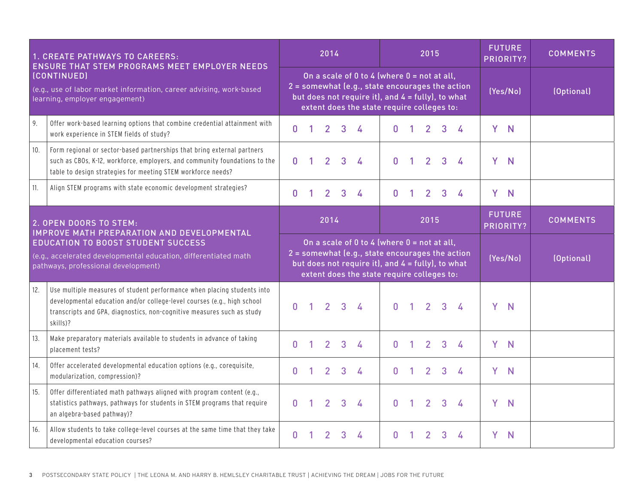| 1. CREATE PATHWAYS TO CAREERS:<br>ENSURE THAT STEM PROGRAMS MEET EMPLOYER NEEDS                                      |                                                                                                                                                                                                                                          |              | 2014<br>2015                                                                                                                                                                                                                     |                |              |                                                                                                                                                                                                                      |              |              |                            |                |                 |   | <b>FUTURE</b><br>PRIORITY? | <b>COMMENTS</b> |
|----------------------------------------------------------------------------------------------------------------------|------------------------------------------------------------------------------------------------------------------------------------------------------------------------------------------------------------------------------------------|--------------|----------------------------------------------------------------------------------------------------------------------------------------------------------------------------------------------------------------------------------|----------------|--------------|----------------------------------------------------------------------------------------------------------------------------------------------------------------------------------------------------------------------|--------------|--------------|----------------------------|----------------|-----------------|---|----------------------------|-----------------|
| (CONTINUED)<br>(e.g., use of labor market information, career advising, work-based<br>learning, employer engagement) |                                                                                                                                                                                                                                          |              |                                                                                                                                                                                                                                  |                |              | On a scale of 0 to 4 (where $0 = \text{not at all}$ ,<br>2 = somewhat (e.g., state encourages the action<br>but does not require it), and $4 = \text{fully}$ , to what<br>extent does the state require colleges to: |              |              |                            |                |                 |   | (Yes/No)                   | (Optional)      |
| 9.                                                                                                                   | Offer work-based learning options that combine credential attainment with<br>work experience in STEM fields of study?                                                                                                                    | 0            | 1                                                                                                                                                                                                                                | 2 <sup>1</sup> | $\mathbf{3}$ | $\overline{A}$                                                                                                                                                                                                       | $\mathbf{0}$ | 1            | $\overline{2}$             | 3              | $\overline{A}$  |   | Y N                        |                 |
| 10.                                                                                                                  | Form regional or sector-based partnerships that bring external partners<br>such as CBOs, K-12, workforce, employers, and community foundations to the<br>table to design strategies for meeting STEM workforce needs?                    | $\mathbf{0}$ | $\mathbf{1}$                                                                                                                                                                                                                     | 2 <sup>1</sup> | $\mathbf{3}$ | 4                                                                                                                                                                                                                    | $\mathbf{0}$ | $\mathbf{1}$ | 2 <sup>1</sup>             | 3              | 4               | Y | $\mathbf N$                |                 |
| 11.                                                                                                                  | Align STEM programs with state economic development strategies?                                                                                                                                                                          | 0            | 1                                                                                                                                                                                                                                | $\overline{2}$ | 3            | 4                                                                                                                                                                                                                    | $\mathbf{0}$ | $\mathbf{1}$ | 2 <sup>1</sup>             | $\mathbf{3}$   | $\overline{A}$  |   | Y N                        |                 |
| 2. OPEN DOORS TO STEM:<br>IMPROVE MATH PREPARATION AND DEVELOPMENTAL                                                 |                                                                                                                                                                                                                                          |              |                                                                                                                                                                                                                                  | 2014           |              |                                                                                                                                                                                                                      |              |              | <b>FUTURE</b><br>PRIORITY? |                | <b>COMMENTS</b> |   |                            |                 |
|                                                                                                                      | <b>EDUCATION TO BOOST STUDENT SUCCESS</b><br>(e.g., accelerated developmental education, differentiated math<br>pathways, professional development)                                                                                      |              | On a scale of 0 to 4 (where $0 = \text{not at all}$ ,<br>2 = somewhat (e.g., state encourages the action<br>(Yes/No)<br>but does not require it), and $4 = \text{fully}$ , to what<br>extent does the state require colleges to: |                |              |                                                                                                                                                                                                                      |              |              |                            |                |                 |   | (Optional)                 |                 |
| 12.                                                                                                                  | Use multiple measures of student performance when placing students into<br>developmental education and/or college-level courses (e.g., high school<br>transcripts and GPA, diagnostics, non-cognitive measures such as study<br>skills)? | n            | 1                                                                                                                                                                                                                                | 2 <sup>1</sup> | $\mathbf{3}$ | $\frac{1}{2}$                                                                                                                                                                                                        | $\mathbf{0}$ | $\mathbf{1}$ | $\overline{2}$             | $\overline{3}$ | 4               | Y | $\mathbb N$                |                 |
| 13.                                                                                                                  | Make preparatory materials available to students in advance of taking<br>placement tests?                                                                                                                                                | 0            |                                                                                                                                                                                                                                  | $\overline{2}$ | 3            | 4                                                                                                                                                                                                                    | $\mathbf{0}$ | 1            | $\overline{2}$             | 3              | 4               | Y | N                          |                 |
| 14.                                                                                                                  | Offer accelerated developmental education options (e.g., corequisite,<br>modularization, compression)?                                                                                                                                   | 0            |                                                                                                                                                                                                                                  | $\overline{2}$ | 3            | 4                                                                                                                                                                                                                    | $\mathbf{0}$ | 1            | $\overline{2}$             | 3              | 4               | Y | $\mathbf N$                |                 |
| 15.                                                                                                                  | Offer differentiated math pathways aligned with program content (e.g.,<br>statistics pathways, pathways for students in STEM programs that require<br>an algebra-based pathway)?                                                         | <sub>0</sub> | 1                                                                                                                                                                                                                                | 2 <sup>1</sup> | 3            | 4                                                                                                                                                                                                                    | 0            | $\mathbf{1}$ | $\overline{2}$             | 3              | 4               | Y | $\mathbf N$                |                 |
| 16.                                                                                                                  | Allow students to take college-level courses at the same time that they take<br>developmental education courses?                                                                                                                         | Ŋ            |                                                                                                                                                                                                                                  | $\overline{2}$ | 3            | $\overline{A}$                                                                                                                                                                                                       | O.           | 1.           | $\overline{2}$             | 3              | 4               | Y | $\mathsf{N}$               |                 |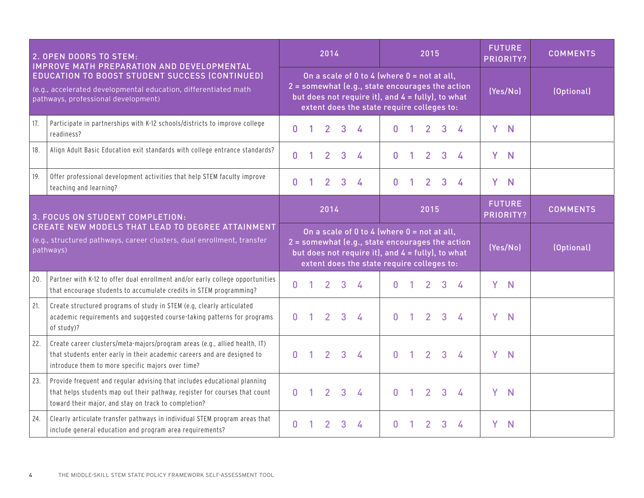| 2. OPEN DOORS TO STEM:<br>IMPROVE MATH PREPARATION AND DEVELOPMENTAL                                                                                            |                                                                                                                                                                                                                |              |  | 2014           |   |                                                                                                                                                                                                            |              |                                                                                                                                                                                                              | 2015           |   |          |   | <b>FUTURE</b><br>PRIORITY? | <b>COMMENTS</b> |
|-----------------------------------------------------------------------------------------------------------------------------------------------------------------|----------------------------------------------------------------------------------------------------------------------------------------------------------------------------------------------------------------|--------------|--|----------------|---|------------------------------------------------------------------------------------------------------------------------------------------------------------------------------------------------------------|--------------|--------------------------------------------------------------------------------------------------------------------------------------------------------------------------------------------------------------|----------------|---|----------|---|----------------------------|-----------------|
| <b>EDUCATION TO BOOST STUDENT SUCCESS (CONTINUED)</b><br>(e.g., accelerated developmental education, differentiated math<br>pathways, professional development) |                                                                                                                                                                                                                |              |  |                |   | On a scale of 0 to 4 (where 0 = not at all,<br>2 = somewhat (e.g., state encourages the action<br>but does not require it), and $4 = \text{fully}$ , to what<br>extent does the state require colleges to: |              |                                                                                                                                                                                                              |                |   |          |   | (Yes/No)                   | (Optional)      |
| 17.                                                                                                                                                             | Participate in partnerships with K-12 schools/districts to improve college<br>readiness?                                                                                                                       | $\bf{0}$     |  | $\overline{2}$ | 3 | 4                                                                                                                                                                                                          | $\mathbf{0}$ |                                                                                                                                                                                                              | $\overline{2}$ | 3 | 4        | Y | N                          |                 |
| 18.                                                                                                                                                             | Align Adult Basic Education exit standards with college entrance standards?                                                                                                                                    | $\bf{0}$     |  | $\overline{2}$ | 3 | 4                                                                                                                                                                                                          | $\mathbf{0}$ |                                                                                                                                                                                                              | $\overline{2}$ | 3 | 4        | Y | $\mathbb N$                |                 |
| 19.                                                                                                                                                             | Offer professional development activities that help STEM faculty improve<br>teaching and learning?                                                                                                             | $\mathbf{0}$ |  | $\overline{2}$ | 3 | 4                                                                                                                                                                                                          | $\mathbf{0}$ |                                                                                                                                                                                                              | 2              | 3 | 4        | Y | N                          |                 |
| 3. FOCUS ON STUDENT COMPLETION:                                                                                                                                 |                                                                                                                                                                                                                |              |  | 2014           |   |                                                                                                                                                                                                            |              |                                                                                                                                                                                                              | 2015           |   |          |   | <b>FUTURE</b><br>PRIORITY? | <b>COMMENTS</b> |
| CREATE NEW MODELS THAT LEAD TO DEGREE ATTAINMENT<br>(e.g., structured pathways, career clusters, dual enrollment, transfer<br>pathways)                         |                                                                                                                                                                                                                |              |  |                |   |                                                                                                                                                                                                            |              | On a scale of 0 to 4 (where $0 = not$ at all,<br>2 = somewhat (e.g., state encourages the action<br>but does not require it), and $4 = \text{fully}$ , to what<br>extent does the state require colleges to: |                |   |          |   | (Yes/No)                   | (Optional)      |
| 20.                                                                                                                                                             | Partner with K-12 to offer dual enrollment and/or early college opportunities<br>that encourage students to accumulate credits in STEM programming?                                                            | $\mathbf{0}$ |  | $\overline{2}$ | 3 | 4                                                                                                                                                                                                          | $\mathbf{0}$ | -1                                                                                                                                                                                                           | $\overline{2}$ | 3 | $\Delta$ | Y | N                          |                 |
| 21.                                                                                                                                                             | Create structured programs of study in STEM (e.g, clearly articulated<br>academic requirements and suggested course-taking patterns for programs<br>of study)?                                                 | $\mathbf{0}$ |  | $\overline{2}$ | 3 | 4                                                                                                                                                                                                          | $\mathbf{0}$ | $\mathbf{1}$                                                                                                                                                                                                 | $\overline{2}$ | 3 | 4        | Y | N                          |                 |
| 22.                                                                                                                                                             | Create career clusters/meta-majors/program areas (e.g., allied health, IT)<br>that students enter early in their academic careers and are designed to<br>introduce them to more specific majors over time?     | n            |  | $\overline{2}$ | 3 | 4                                                                                                                                                                                                          | $\mathbf{0}$ | 1.                                                                                                                                                                                                           | $\overline{2}$ | 3 | 4        | Y | N                          |                 |
| 23.                                                                                                                                                             | Provide frequent and regular advising that includes educational planning<br>that helps students map out their pathway, register for courses that count<br>toward their major, and stay on track to completion? | $\mathbf{0}$ |  | 2 <sup>1</sup> | 3 | 4                                                                                                                                                                                                          | $\mathbf{0}$ | $\mathbf{1}$                                                                                                                                                                                                 | $\overline{2}$ | 3 | 4        | Y | N                          |                 |
| 24.                                                                                                                                                             | Clearly articulate transfer pathways in individual STEM program areas that<br>include general education and program area requirements?                                                                         | n            |  | $\mathbf{2}$   | 3 | 4                                                                                                                                                                                                          | $\mathbf{0}$ |                                                                                                                                                                                                              | $\overline{2}$ | 3 | 4        | Y | N                          |                 |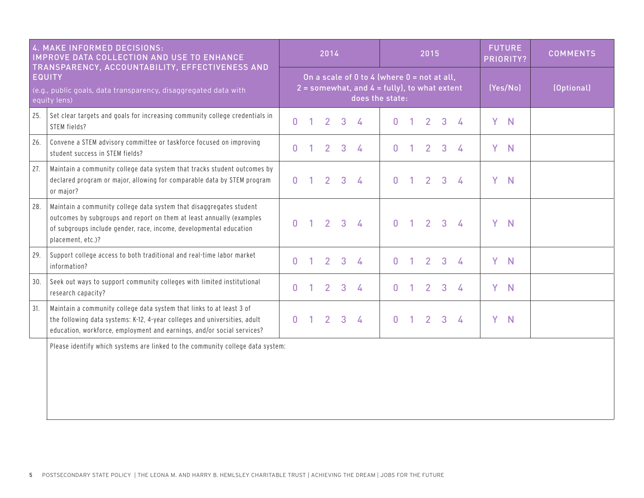| 4. MAKE INFORMED DECISIONS:<br><b>IMPROVE DATA COLLECTION AND USE TO ENHANCE</b><br>TRANSPARENCY, ACCOUNTABILITY, EFFECTIVENESS AND<br><b>EQUITY</b><br>(e.g., public goals, data transparency, disaggregated data with<br>equity lens) |                                                                                                                                                                                                                                        |              | 2014           |                |                                                                                                                      |              |                | 2015           |              |   | <b>FUTURE</b><br>PRIORITY? |          | <b>COMMENTS</b> |
|-----------------------------------------------------------------------------------------------------------------------------------------------------------------------------------------------------------------------------------------|----------------------------------------------------------------------------------------------------------------------------------------------------------------------------------------------------------------------------------------|--------------|----------------|----------------|----------------------------------------------------------------------------------------------------------------------|--------------|----------------|----------------|--------------|---|----------------------------|----------|-----------------|
|                                                                                                                                                                                                                                         |                                                                                                                                                                                                                                        |              |                |                | On a scale of 0 to 4 (where $0 = not$ at all,<br>$2 =$ somewhat, and $4 =$ fully), to what extent<br>does the state: |              |                |                |              |   |                            | (Yes/No) | (Optional)      |
| 25.                                                                                                                                                                                                                                     | Set clear targets and goals for increasing community college credentials in<br>STEM fields?                                                                                                                                            | $\mathbf{0}$ | $\overline{2}$ | 3              | 4                                                                                                                    | $\mathbf{0}$ |                | 2 <sup>1</sup> | 3            | 4 | Y                          | N        |                 |
| 26.                                                                                                                                                                                                                                     | Convene a STEM advisory committee or taskforce focused on improving<br>student success in STEM fields?                                                                                                                                 | 0            | 2              | 3              | 4                                                                                                                    | $\mathbf{0}$ |                | $\mathcal{P}$  | 3            |   | Y                          | N        |                 |
| 27.                                                                                                                                                                                                                                     | Maintain a community college data system that tracks student outcomes by<br>declared program or major, allowing for comparable data by STEM program<br>or major?                                                                       | O.           | $\overline{2}$ | 3              | $\frac{1}{2}$                                                                                                        | $\mathbf{0}$ |                | $\overline{2}$ | 3            | 4 | Y                          | N        |                 |
| 28.                                                                                                                                                                                                                                     | Maintain a community college data system that disaggregates student<br>outcomes by subgroups and report on them at least annually (examples<br>of subgroups include gender, race, income, developmental education<br>placement, etc.)? | $\mathbf{0}$ | 2 <sup>1</sup> | $\overline{3}$ | $\frac{1}{2}$                                                                                                        | $\mathbf{0}$ | $\overline{1}$ | 2 <sup>1</sup> | 3            | 4 | Y                          | N        |                 |
| 29.                                                                                                                                                                                                                                     | Support college access to both traditional and real-time labor market<br>information?                                                                                                                                                  | $\mathbf{0}$ | 2 <sup>1</sup> | $\overline{3}$ | 4                                                                                                                    | $\mathbf{0}$ | 1.             | 2 <sup>1</sup> | $\mathbf{3}$ | 4 | Y                          | N        |                 |
| 30.                                                                                                                                                                                                                                     | Seek out ways to support community colleges with limited institutional<br>research capacity?                                                                                                                                           | 0            | $\overline{2}$ | 3              | 4                                                                                                                    | $\mathbf{0}$ |                | $\overline{2}$ | 3            | 4 | Y                          | N        |                 |
| 31.                                                                                                                                                                                                                                     | Maintain a community college data system that links to at least 3 of<br>the following data systems: K-12, 4-year colleges and universities, adult<br>education, workforce, employment and earnings, and/or social services?            | 0            | $\overline{2}$ | 3              | $\frac{1}{2}$                                                                                                        | $\mathbf{0}$ |                | $\overline{2}$ | 3            | 4 | Y                          | N        |                 |
|                                                                                                                                                                                                                                         | Please identify which systems are linked to the community college data system:                                                                                                                                                         |              |                |                |                                                                                                                      |              |                |                |              |   |                            |          |                 |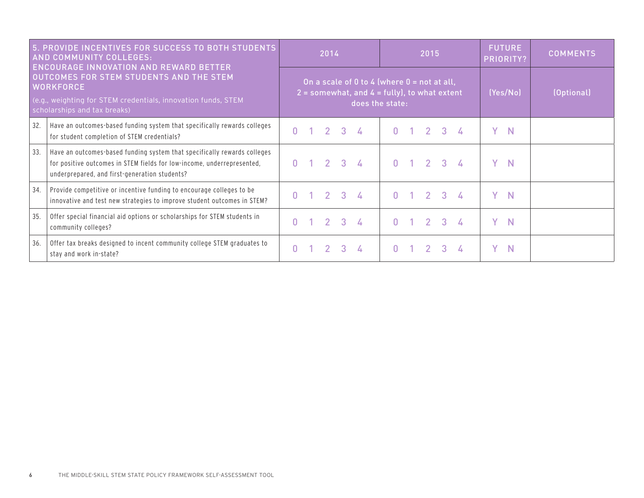| 5. PROVIDE INCENTIVES FOR SUCCESS TO BOTH STUDENTS<br>AND COMMUNITY COLLEGES:<br><b>ENCOURAGE INNOVATION AND REWARD BETTER</b>                               |                                                                                                                                                                                                     |    |  | 2014           |                |                                                                                                                      |          | 2015           |                     |   | <b>FUTURE</b><br>PRIORITY? | <b>COMMENTS</b> |
|--------------------------------------------------------------------------------------------------------------------------------------------------------------|-----------------------------------------------------------------------------------------------------------------------------------------------------------------------------------------------------|----|--|----------------|----------------|----------------------------------------------------------------------------------------------------------------------|----------|----------------|---------------------|---|----------------------------|-----------------|
| OUTCOMES FOR STEM STUDENTS AND THE STEM<br><b>WORKFORCE</b><br>(e.g., weighting for STEM credentials, innovation funds, STEM<br>scholarships and tax breaks) |                                                                                                                                                                                                     |    |  |                |                | On a scale of 0 to 4 (where $0 = not$ at all,<br>$2 =$ somewhat, and $4 =$ fully), to what extent<br>does the state: |          |                |                     |   | (Yes/No)                   | (Optional)      |
| 32.                                                                                                                                                          | Have an outcomes-based funding system that specifically rewards colleges<br>for student completion of STEM credentials?                                                                             | n  |  | $\overline{2}$ | $\mathbf{3}$   | $\Delta$                                                                                                             | $\Omega$ | $\overline{2}$ | $\mathbf{3}$        |   | $\mathbb N$                |                 |
| 33.                                                                                                                                                          | Have an outcomes-based funding system that specifically rewards colleges<br>for positive outcomes in STEM fields for low-income, underrepresented,<br>underprepared, and first-generation students? | n  |  | $2^{\circ}$    | 3 <sup>1</sup> | $\mathbf{r}$                                                                                                         | $\Omega$ |                | $1 \quad 2 \quad 3$ | Y | <sup>N</sup>               |                 |
| 34.                                                                                                                                                          | Provide competitive or incentive funding to encourage colleges to be<br>innovative and test new strategies to improve student outcomes in STEM?                                                     |    |  | 2.             | 3              | $\mathbf{r}$                                                                                                         | $\Omega$ | $\overline{2}$ | $\mathbf{3}$        | Y | N                          |                 |
| 35.                                                                                                                                                          | Offer special financial aid options or scholarships for STEM students in<br>community colleges?                                                                                                     | n. |  | $\mathcal{P}$  | 3 <sup>1</sup> | $\Delta$                                                                                                             | $\cap$   | $\overline{2}$ | $\mathbf{3}$        |   | N                          |                 |
| 36.                                                                                                                                                          | Offer tax breaks designed to incent community college STEM graduates to<br>stay and work in-state?                                                                                                  | n  |  |                | 3              |                                                                                                                      |          |                | 3.                  | v | N                          |                 |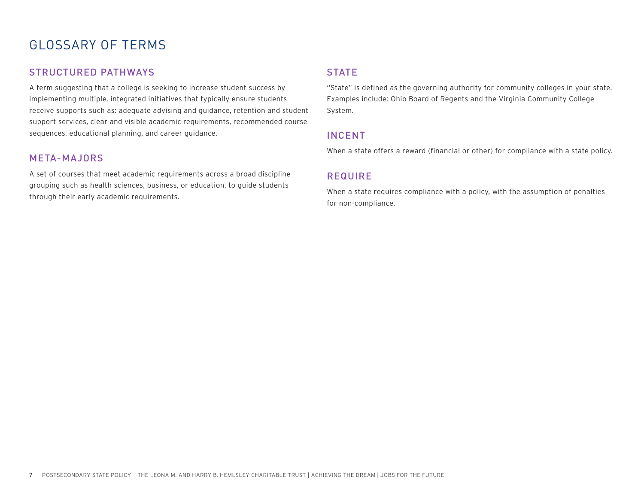### GLOSSARY OF TERMS

#### STRUCTURED PATHWAYS

A term suggesting that a college is seeking to increase student success by implementing multiple, integrated initiatives that typically ensure students receive supports such as: adequate advising and guidance, retention and student support services, clear and visible academic requirements, recommended course sequences, educational planning, and career guidance.

#### META-MAJORS

A set of courses that meet academic requirements across a broad discipline grouping such as health sciences, business, or education, to guide students through their early academic requirements.

#### **STATE**

"State" is defined as the governing authority for community colleges in your state. Examples include: Ohio Board of Regents and the Virginia Community College System.

#### INCENT

When a state offers a reward (financial or other) for compliance with a state policy.

### REQUIRE

When a state requires compliance with a policy, with the assumption of penalties for non-compliance.